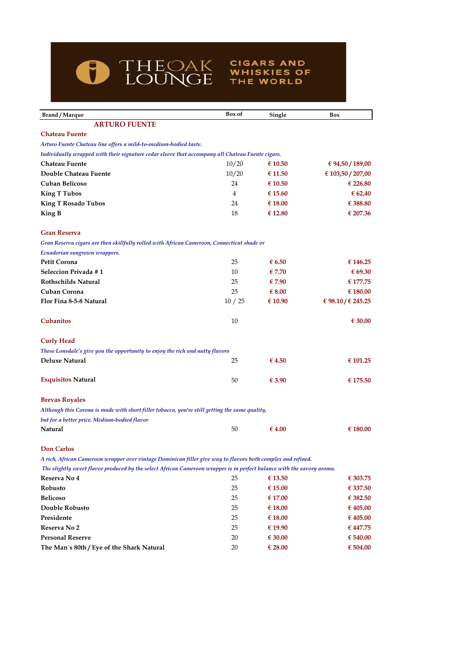

# **Brand / Marque Box of Single Box ARTURO FUENTE Chateau Fuente** *Arturo Fuente Chateau line offers a mild-to-medium-bodied taste. Individually wrapped with their signature cedar sleeve that accompany all Chateau Fuente cigars.* **Chateau Fuente** 10/20 **€ 10.50 € 94,50 / 189,00 Double Chateau Fuente** 10/20 **€ 11.50 € 103,50 / 207,00 Cuban Belicoso** 24 **€ 10.50 € 226.80 King T Tubos** 4 **€ 15.60 € 62,40 King T Rosado Tubos** 24 **€ 18.00 € 388.80 King B** 18 **€ 12.80 € 207.36 Gran Reserva**  *Gran Reserva cigars are then skillfully rolled with African Cameroon, Connecticut shade or*  **Petit Corona** 25 **€ 6.50 € 146.25 Seleccion Privada # 1 10 € 7.70 € 69.30 Rothschilds Natural** 25 **€ 7.90 € 177.75 Cuban Corona** 25 **€ 8.00 € 180.00 Flor Fina 8-5-8 Natural** 10 / 25 **€ 10.90 € 98.10 / € 245.25**  $\epsilon$  **Cubanitos**  $\epsilon$  30.00 **Curly Head** *These Lonsdale's give you the opportunity to enjoy the rich and nutty flavors* **Deluxe Natural** 25 **€ 4.50 € 101.25 Exquisitos Natural**  $\qquad 50 \qquad \qquad \text{{\pounds }3.90}$   $\qquad \text{{\pounds }175.50}$ **Brevas Royales** *Although this Corona is made with short filler tobacco, you're still getting the same quality,*  **Natural** 50 **€ 4.00 € 180.00 Don Carlos**  *A rich, African Cameroon wrapper over vintage Dominican filler give way to flavors both complex and refined. The slightly sweet flavor produced by the select African Cameroon wrapper is in perfect balance with the savory aroma. Ecuadorian sungrown wrappers. but for a better price. Medium-bodied flavor*

**CIGARS AND** 

**WHISKIES OF** THE WORLD

| Reserva No 4                              | 25 | $\epsilon$ 13.50 | € 303.75 |
|-------------------------------------------|----|------------------|----------|
| Robusto                                   | 25 | $\epsilon$ 15.00 | € 337.50 |
| <b>Belicoso</b>                           | 25 | $\epsilon$ 17.00 | € 382.50 |
| Double Robusto                            | 25 | $\epsilon$ 18.00 | € 405.00 |
| Presidente                                | 25 | $\epsilon$ 18.00 | € 405.00 |
| Reserva No 2                              | 25 | € 19.90          | € 447.75 |
| <b>Personal Reserve</b>                   | 20 | $\epsilon$ 30.00 | € 540.00 |
| The Man's 80th / Eye of the Shark Natural | 20 | $\epsilon$ 28.00 | € 504.00 |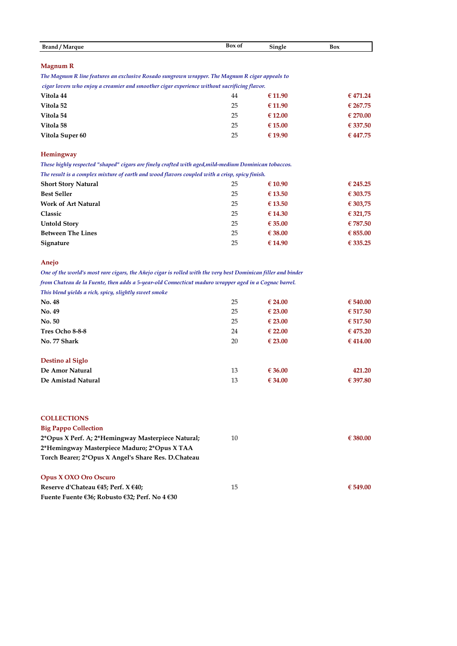|                        |        | r.     |     |
|------------------------|--------|--------|-----|
| <b>Brand</b><br>Marque | Box of | bingle | Box |

#### **Magnum R**

*The Magnum R line features an exclusive Rosado sungrown wrapper. The Magnum R cigar appeals to* 

 *cigar lovers who enjoy a creamier and smoother cigar experience without sacrificing flavor.* 

| Vitola 44       | 44 | €11.90           | € 471.24 |
|-----------------|----|------------------|----------|
| Vitola 52       | 25 | €11.90           | € 267.75 |
| Vitola 54       | 25 | $\epsilon$ 12.00 | € 270.00 |
| Vitola 58       | 25 | € 15.00          | € 337.50 |
| Vitola Super 60 | 25 | € 19.90          | € 447.75 |

#### **Hemingway**

*These highly respected "shaped" cigars are finely crafted with aged,mild-medium Dominican tobaccos.* 

| The result is a complex mixture of earth and wood flavors coupled with a crisp, spicy finish. |    |                  |          |
|-----------------------------------------------------------------------------------------------|----|------------------|----------|
| <b>Short Story Natural</b>                                                                    | 25 | € 10.90          | € 245.25 |
| <b>Best Seller</b>                                                                            | 25 | $\epsilon$ 13.50 | € 303.75 |
| <b>Work of Art Natural</b>                                                                    | 25 | $\epsilon$ 13.50 | € 303,75 |
| Classic                                                                                       | 25 | € 14.30          | € 321,75 |
| <b>Untold Story</b>                                                                           | 25 | $\epsilon$ 35.00 | € 787.50 |
| <b>Between The Lines</b>                                                                      | 25 | $\epsilon$ 38.00 | € 855.00 |
| Signature                                                                                     | 25 | € 14.90          | € 335.25 |
|                                                                                               |    |                  |          |

### **Anejo**

*One of the world's most rare cigars, the Añejo cigar is rolled with the very best Dominican filler and binder from Chateau de la Fuente, then adds a 5-year-old Connecticut maduro wrapper aged in a Cognac barrel.* 

*This blend yields a rich, spicy, slightly sweet smoke*

| No. 48             | 25 | $\epsilon$ 24.00 | € 540.00 |
|--------------------|----|------------------|----------|
| No. 49             | 25 | $\epsilon$ 23.00 | € 517.50 |
| No. 50             | 25 | $\epsilon$ 23.00 | € 517.50 |
| Tres Ocho 8-8-8    | 24 | $\epsilon$ 22.00 | € 475.20 |
| No. 77 Shark       | 20 | $\epsilon$ 23.00 | € 414.00 |
| Destino al Siglo   |    |                  |          |
| De Amor Natural    | 13 | € 36.00          | 421.20   |
| De Amistad Natural | 13 | € 34.00          | € 397.80 |

|  |  | <b>COLLECTIONS</b> |  |
|--|--|--------------------|--|
|  |  |                    |  |
|  |  |                    |  |

| <b>Big Pappo Collection</b><br>2*Opus X Perf. A; 2*Hemingway Masterpiece Natural;<br>2*Hemingway Masterpiece Maduro; 2*Opus X TAA<br>Torch Bearer; 2*Opus X Angel's Share Res. D.Chateau | 10 | € 380.00 |
|------------------------------------------------------------------------------------------------------------------------------------------------------------------------------------------|----|----------|
| <b>Opus X OXO Oro Oscuro</b><br>Reserve d'Chateau $\epsilon$ 45; Perf. X $\epsilon$ 40;                                                                                                  | 15 | € 549.00 |
| Fuente Fuente €36; Robusto €32; Perf. No 4 €30                                                                                                                                           |    |          |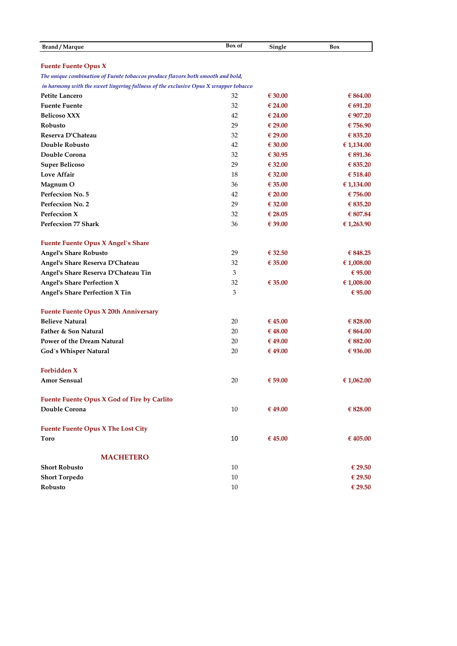| Brand / Marque                                                                       | Box of | Single           | Box        |
|--------------------------------------------------------------------------------------|--------|------------------|------------|
|                                                                                      |        |                  |            |
| <b>Fuente Fuente Opus X</b>                                                          |        |                  |            |
| The unique combination of Fuente tobaccos produce flavors both smooth and bold,      |        |                  |            |
| in harmony with the sweet lingering fullness of the exclusive Opus X wrapper tobacco |        |                  |            |
| Petite Lancero                                                                       | 32     | € 30.00          | € 864.00   |
| <b>Fuente Fuente</b>                                                                 | 32     | € 24.00          | € 691.20   |
| <b>Belicoso XXX</b>                                                                  | 42     | € 24.00          | € 907.20   |
| Robusto                                                                              | 29     | $\epsilon$ 29.00 | € 756.90   |
| Reserva D'Chateau                                                                    | 32     | $\epsilon$ 29.00 | € 835.20   |
| Double Robusto                                                                       | 42     | € 30.00          | € 1,134.00 |
| Double Corona                                                                        | 32     | € 30.95          | € 891.36   |
| <b>Super Belicoso</b>                                                                | 29     | € 32.00          | € 835.20   |
| Love Affair                                                                          | 18     | € 32.00          | € 518.40   |
| Magnum O                                                                             | 36     | € 35.00          | € 1,134.00 |
| Perfecxion No. 5                                                                     | 42     | $\epsilon$ 20.00 | € 756.00   |
| Perfecxion No. 2                                                                     | 29     | € 32.00          | € 835.20   |
| Perfecxion X                                                                         | 32     | € 28.05          | € 807.84   |
| <b>Perfecxion 77 Shark</b>                                                           | 36     | € 39.00          | €1,263.90  |
| <b>Fuente Fuente Opus X Angel's Share</b>                                            |        |                  |            |
| <b>Angel's Share Robusto</b>                                                         | 29     | € 32.50          | € 848.25   |
| Angel's Share Reserva D'Chateau                                                      | 32     | € 35.00          | € 1,008.00 |
| Angel's Share Reserva D'Chateau Tin                                                  | 3      |                  | € 95.00    |
| <b>Angel's Share Perfection X</b>                                                    | 32     | € 35.00          | € 1,008.00 |
| <b>Angel's Share Perfection X Tin</b>                                                | 3      |                  | € 95.00    |
| <b>Fuente Fuente Opus X 20th Anniversary</b>                                         |        |                  |            |
| <b>Believe Natural</b>                                                               | 20     | € 45.00          | € 828.00   |
| Father & Son Natural                                                                 | 20     | € 48.00          | € 864.00   |
| Power of the Dream Natural                                                           | 20     | €49.00           | € 882.00   |
| God's Whisper Natural                                                                | 20     | € 49.00          | € 936.00   |
| Forbidden X                                                                          |        |                  |            |
| <b>Amor Sensual</b>                                                                  | 20     | € 59.00          | € 1,062.00 |
| Fuente Fuente Opus X God of Fire by Carlito                                          |        |                  |            |
| Double Corona                                                                        | 10     | € 49.00          | € 828.00   |
| <b>Fuente Fuente Opus X The Lost City</b>                                            |        |                  |            |
| Toro                                                                                 | 10     | € 45.00          | € 405.00   |
| <b>MACHETERO</b>                                                                     |        |                  |            |
| <b>Short Robusto</b>                                                                 | 10     |                  | € 29.50    |
| <b>Short Torpedo</b>                                                                 | 10     |                  | € 29.50    |
| Robusto                                                                              | 10     |                  | € 29.50    |
|                                                                                      |        |                  |            |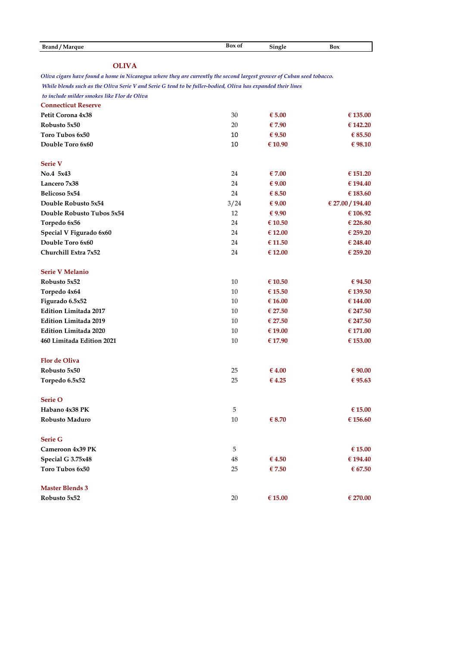| <b>OLIVA</b>                                                                                                          |      |                 |                  |
|-----------------------------------------------------------------------------------------------------------------------|------|-----------------|------------------|
| Oliva cigars have found a home in Nicaragua where they are currently the second largest grower of Cuban seed tobacco. |      |                 |                  |
| While blends such as the Oliva Serie V and Serie G tend to be fuller-bodied, Oliva has expanded their lines           |      |                 |                  |
| to include milder smokes like Flor de Oliva                                                                           |      |                 |                  |
| <b>Connecticut Reserve</b>                                                                                            |      |                 |                  |
| Petit Corona 4x38                                                                                                     | 30   | € 5.00          | € 135.00         |
| Robusto 5x50                                                                                                          | 20   | €7.90           | € 142.20         |
| Toro Tubos 6x50                                                                                                       | 10   | $\epsilon$ 9.50 | $\epsilon$ 85.50 |
| Double Toro 6x60                                                                                                      | 10   | € 10.90         | € 98.10          |
| <b>Serie V</b>                                                                                                        |      |                 |                  |
| No.4 5x43                                                                                                             | 24   | $\epsilon$ 7.00 | € 151.20         |
| Lancero 7x38                                                                                                          | 24   | $\epsilon$ 9.00 | € 194.40         |
| Belicoso 5x54                                                                                                         | 24   | $\epsilon$ 8.50 | € 183.60         |
| Double Robusto 5x54                                                                                                   | 3/24 | $\epsilon$ 9.00 | € 27.00 / 194.40 |
| Double Robusto Tubos 5x54                                                                                             | 12   | $\epsilon$ 9.90 | € 106.92         |
| Torpedo 6x56                                                                                                          | 24   | € 10.50         | € 226.80         |
| Special V Figurado 6x60                                                                                               | 24   | € 12.00         | € 259.20         |
| Double Toro 6x60                                                                                                      | 24   | € 11.50         | € 248.40         |
| Churchill Extra 7x52                                                                                                  | 24   | € 12.00         | € 259.20         |
| <b>Serie V Melanio</b>                                                                                                |      |                 |                  |
| Robusto 5x52                                                                                                          | 10   | €10.50          | € 94.50          |
| Torpedo 4x64                                                                                                          | 10   | € 15.50         | € 139.50         |
| Figurado 6.5x52                                                                                                       | 10   | € 16.00         | € 144.00         |
| <b>Edition Limitada 2017</b>                                                                                          | 10   | € 27.50         | € 247.50         |
| <b>Edition Limitada 2019</b>                                                                                          | 10   | € 27.50         | € 247.50         |
| <b>Edition Limitada 2020</b>                                                                                          | 10   | € 19.00         | € 171.00         |
| 460 Limitada Edition 2021                                                                                             | 10   | € 17.90         | € 153.00         |
| <b>Flor de Oliva</b>                                                                                                  |      |                 |                  |
| Robusto 5x50                                                                                                          | 25   | €4.00           | € 90.00          |
| Torpedo 6.5x52                                                                                                        | 25   | €4.25           | € 95.63          |
| Serie O                                                                                                               |      |                 |                  |
| Habano 4x38 PK                                                                                                        | 5    |                 | $\in$ 15.00      |
| Robusto Maduro                                                                                                        | 10   | € 8.70          | € 156.60         |
| <b>Serie G</b>                                                                                                        |      |                 |                  |
| Cameroon 4x39 PK                                                                                                      | 5    |                 | € 15.00          |
| Special G 3.75x48                                                                                                     | 48   | €4.50           | € 194.40         |
| Toro Tubos 6x50                                                                                                       | 25   | €7.50           | $\in 67.50$      |
| <b>Master Blends 3</b>                                                                                                |      |                 |                  |
| Robusto 5x52                                                                                                          | 20   | $\in$ 15.00     | € 270.00         |

**Brand / Marque Box** of **Single Box**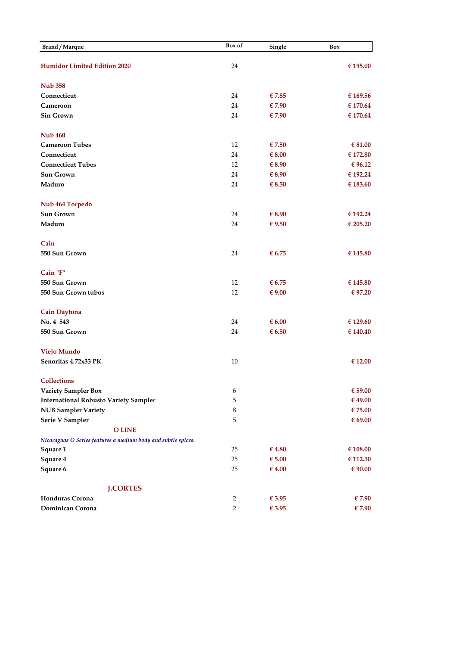| Brand / Marque                                                | Box of         | Single          | Box         |
|---------------------------------------------------------------|----------------|-----------------|-------------|
|                                                               |                |                 |             |
| <b>Humidor Limited Edition 2020</b>                           | 24             |                 | € 195.00    |
| <b>Nub 358</b>                                                |                |                 |             |
| Connecticut                                                   | 24             | € 7.85          | € 169.56    |
| Cameroon                                                      | 24             | €7.90           | € 170.64    |
| <b>Sin Grown</b>                                              | 24             | €7.90           | € 170.64    |
|                                                               |                |                 |             |
| <b>Nub 460</b>                                                |                |                 |             |
| <b>Cameroon Tubes</b>                                         | 12             | €7.50           | € 81.00     |
| Connecticut                                                   | 24             | € $8.00$        | € 172.80    |
| <b>Connecticut Tubes</b>                                      | 12             | € $8.90$        | € 96.12     |
| <b>Sun Grown</b>                                              | 24             | € 8.90          | € 192.24    |
| Maduro                                                        | 24             | $\epsilon$ 8.50 | € 183.60    |
| Nub 464 Torpedo                                               |                |                 |             |
| <b>Sun Grown</b>                                              | 24             | € $8.90$        | € 192.24    |
| Maduro                                                        | 24             | € 9.50          | € 205.20    |
| Cain                                                          |                |                 |             |
| 550 Sun Grown                                                 | 24             | $\epsilon$ 6.75 | € 145.80    |
| Cain "F"                                                      |                |                 |             |
| 550 Sun Grown                                                 | 12             | $\epsilon$ 6.75 | € 145.80    |
| 550 Sun Grown tubos                                           | 12             | € $9.00$        | € 97.20     |
| <b>Cain Daytona</b>                                           |                |                 |             |
| No. 4 543                                                     | 24             | $\epsilon$ 6.00 | € 129.60    |
| 550 Sun Grown                                                 | 24             | $\epsilon$ 6.50 | € 140.40    |
| Viejo Mundo                                                   |                |                 |             |
| Senoritas 4.72x33 PK                                          | 10             |                 | € 12.00     |
| <b>Collections</b>                                            |                |                 |             |
| Variety Sampler Box                                           | 6              |                 | $\in$ 59.00 |
| <b>International Robusto Variety Sampler</b>                  | 5              |                 | € 49.00     |
| <b>NUB Sampler Variety</b>                                    | $\,8\,$        |                 | € 75.00     |
| Serie V Sampler                                               | 5              |                 | $\in$ 69.00 |
| <b>O LINE</b>                                                 |                |                 |             |
| Nicaraguas O Series features a medium body and subtle spices. |                |                 |             |
| Square 1                                                      | 25             | €4.80           | € 108.00    |
| Square 4                                                      | 25             | $\epsilon$ 5.00 | € 112.50    |
| Square 6                                                      | 25             | €4.00           | $\in 90.00$ |
|                                                               |                |                 |             |
| <b>J.CORTES</b><br>Honduras Corona                            | 2              | €3.95           | €7.90       |
| Dominican Corona                                              | $\overline{2}$ | $\in$ 3.95      | €7.90       |
|                                                               |                |                 |             |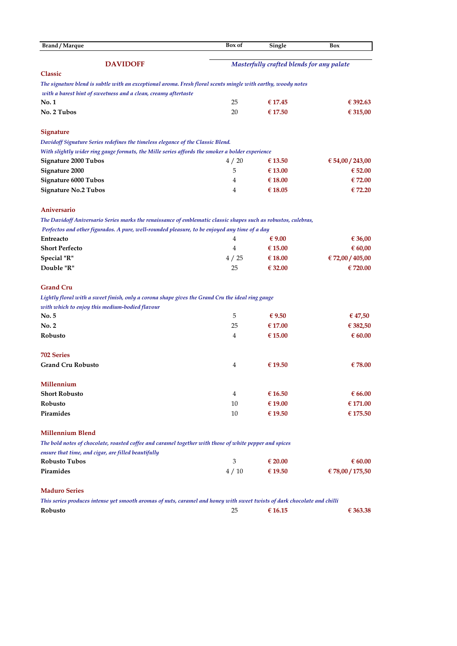| <b>Brand / Marque</b>                                                                                                    | Box of         | Single                                    | Box              |  |
|--------------------------------------------------------------------------------------------------------------------------|----------------|-------------------------------------------|------------------|--|
| <b>DAVIDOFF</b>                                                                                                          |                | Masterfully crafted blends for any palate |                  |  |
| <b>Classic</b>                                                                                                           |                |                                           |                  |  |
| The signature blend is subtle with an exceptional aroma. Fresh floral scents mingle with earthy, woody notes             |                |                                           |                  |  |
| with a barest hint of sweetness and a clean, creamy aftertaste                                                           |                |                                           |                  |  |
| No.1                                                                                                                     | 25             | € 17.45                                   | € 392.63         |  |
| No. 2 Tubos                                                                                                              | 20             | € 17.50                                   | € 315,00         |  |
| <b>Signature</b>                                                                                                         |                |                                           |                  |  |
| Davidoff Signature Series redefines the timeless elegance of the Classic Blend.                                          |                |                                           |                  |  |
| With slightly wider ring gauge formats, the Mille series affords the smoker a bolder experience                          |                |                                           |                  |  |
| <b>Signature 2000 Tubos</b>                                                                                              | 4/20           | € 13.50                                   | € 54,00 / 243,00 |  |
| Signature 2000                                                                                                           | 5              | € 13.00                                   | € 52.00          |  |
| <b>Signature 6000 Tubos</b>                                                                                              | 4              | € 18.00                                   | €72.00           |  |
| <b>Signature No.2 Tubos</b>                                                                                              | 4              | € 18.05                                   | € 72.20          |  |
| Aniversario                                                                                                              |                |                                           |                  |  |
| The Davidoff Aniversario Series marks the renaissance of emblematic classic shapes such as robustos, culebras,           |                |                                           |                  |  |
| Perfectos and other figurados. A pure, well-rounded pleasure, to be enjoyed any time of a day                            |                |                                           |                  |  |
| Entreacto                                                                                                                | 4              | € $9.00$                                  | € 36,00          |  |
| <b>Short Perfecto</b>                                                                                                    | $\overline{4}$ | € 15.00                                   | € 60,00          |  |
| Special "R"                                                                                                              | 4/25           | € 18.00                                   | € 72,00 / 405,00 |  |
| Double "R"                                                                                                               | 25             | € 32.00                                   | € 720.00         |  |
| <b>Grand Cru</b>                                                                                                         |                |                                           |                  |  |
| Lightly floral with a sweet finish, only a corona shape gives the Grand Cru the ideal ring gauge                         |                |                                           |                  |  |
| with which to enjoy this medium-bodied flavour                                                                           |                |                                           |                  |  |
| No. 5                                                                                                                    | 5              | $\epsilon$ 9.50                           | € 47,50          |  |
| No. 2                                                                                                                    | 25             | $\epsilon$ 17.00                          | € 382,50         |  |
| Robusto                                                                                                                  | 4              | € 15.00                                   | € 60.00          |  |
| <b>702 Series</b>                                                                                                        |                |                                           |                  |  |
| <b>Grand Cru Robusto</b>                                                                                                 | 4              | € 19.50                                   | €78.00           |  |
| Millennium                                                                                                               |                |                                           |                  |  |
| <b>Short Robusto</b>                                                                                                     | 4              | €16.50                                    | € 66.00          |  |
| Robusto                                                                                                                  | 10             | € 19.00                                   | € 171.00         |  |
| Piramides                                                                                                                | 10             | € 19.50                                   | € 175.50         |  |
| <b>Millennium Blend</b>                                                                                                  |                |                                           |                  |  |
| The bold notes of chocolate, roasted coffee and caramel together with those of white pepper and spices                   |                |                                           |                  |  |
| ensure that time, and cigar, are filled beautifully                                                                      |                |                                           |                  |  |
| <b>Robusto Tubos</b>                                                                                                     | 3              | $\epsilon$ 20.00                          | € 60.00          |  |
| Piramides                                                                                                                | 4/10           | € 19.50                                   | €78,00 / 175,50  |  |
| <b>Maduro Series</b>                                                                                                     |                |                                           |                  |  |
| This series produces intense yet smooth aromas of nuts, caramel and honey with sweet twists of dark chocolate and chilli |                |                                           |                  |  |
| Robusto                                                                                                                  | 25             | € 16.15                                   | € 363.38         |  |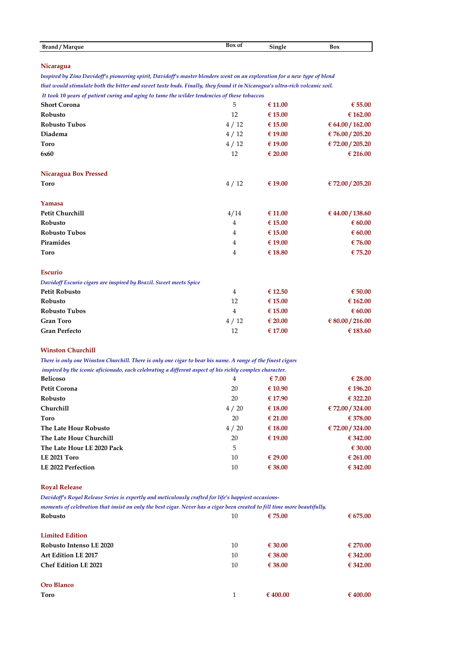| Brand   | Box of | $\sim$ | Box |
|---------|--------|--------|-----|
| 'Marque | -----  | Single |     |

#### **Nicaragua**

*that would stimulate both the bitter and sweet taste buds. Finally, they found it in Nicaragua's ultra-rich volcanic soil. Inspired by Zino Davidoff's pioneering spirit, Davidoff's master blenders went on an exploration for a new type of blend* 

 *It took 10 years of patient curing and aging to tame the wilder tendencies of these tobaccos*

| <b>Short Corona</b>                                               | 5              | € 11.00 | $\epsilon$ 55.00 |
|-------------------------------------------------------------------|----------------|---------|------------------|
| Robusto                                                           | 12             | € 15.00 | € 162.00         |
| <b>Robusto Tubos</b>                                              | 4/12           | € 15.00 | € 64.00 / 162.00 |
| Diadema                                                           | 4/12           | €19.00  | € 76.00 / 205.20 |
| <b>Toro</b>                                                       | 4/12           | €19.00  | € 72.00 / 205.20 |
| 6x60                                                              | 12             | € 20.00 | € 216.00         |
| <b>Nicaragua Box Pressed</b>                                      |                |         |                  |
| <b>Toro</b>                                                       | 4/12           | € 19.00 | € 72.00 / 205.20 |
| Yamasa                                                            |                |         |                  |
| Petit Churchill                                                   | 4/14           | € 11.00 | € 44.00 / 138.60 |
| Robusto                                                           | 4              | € 15.00 | 60.00            |
| Robusto Tubos                                                     | $\overline{4}$ | € 15.00 | € 60.00          |
| Piramides                                                         | 4              | €19.00  | $\epsilon$ 76.00 |
| <b>Toro</b>                                                       | 4              | €18.80  | €75.20           |
| <b>Escurio</b>                                                    |                |         |                  |
| Davidoff Escurio cigars are inspired by Brazil. Sweet meets Spice |                |         |                  |
| <b>Petit Robusto</b>                                              | 4              | € 12.50 | $\epsilon$ 50.00 |
| Robusto                                                           | 12             | € 15.00 | € 162.00         |
| <b>Robusto Tubos</b>                                              | $\overline{4}$ | € 15.00 | $\epsilon$ 60.00 |
| <b>Gran Toro</b>                                                  | 4/12           | € 20.00 | € 80.00 / 216.00 |
| <b>Gran Perfecto</b>                                              | 12             | € 17.00 | € 183.60         |

#### **Winston Churchill**

*There is only one Winston Churchill. There is only one cigar to bear his name. A range of the finest cigars*

| inspired by the iconic aficionado, each celebrating a different aspect of his richly complex character. |      |                  |                  |
|---------------------------------------------------------------------------------------------------------|------|------------------|------------------|
| <b>Belicoso</b>                                                                                         | 4    | $\epsilon$ 7.00  | $\epsilon$ 28.00 |
| <b>Petit Corona</b>                                                                                     | 20   | € 10.90          | € 196.20         |
| Robusto                                                                                                 | 20   | € 17.90          | € 322.20         |
| <b>Churchill</b>                                                                                        | 4/20 | € 18.00          | € 72.00 / 324.00 |
| Toro                                                                                                    | 20   | $\epsilon$ 21.00 | € 378.00         |
| The Late Hour Robusto                                                                                   | 4/20 | € 18.00          | € 72.00 / 324.00 |
| The Late Hour Churchill                                                                                 | 20   | € 19.00          | € 342.00         |
| The Late Hour LE 2020 Pack                                                                              | 5    |                  | $\epsilon$ 30.00 |
| LE 2021 Toro                                                                                            | 10   | € 29.00          | € 261.00         |
| LE 2022 Perfection                                                                                      | 10   | € 38.00          | € 342.00         |

#### **Royal Release**

*Davidoff's Royal Release Series is expertly and meticulously crafted for life's happiest occasions-*

| moments of celebration that insist on only the best cigar. Never has a cigar been created to fill time more beautifully. |    |                  |          |
|--------------------------------------------------------------------------------------------------------------------------|----|------------------|----------|
| Robusto                                                                                                                  | 10 | $\epsilon$ 75.00 | € 675.00 |
| <b>Limited Edition</b>                                                                                                   |    |                  |          |
| Robusto Intenso LE 2020                                                                                                  | 10 | $\epsilon$ 30.00 | € 270.00 |
| Art Edition LE 2017                                                                                                      | 10 | $\epsilon$ 38.00 | € 342.00 |
| <b>Chef Edition LE 2021</b>                                                                                              | 10 | $\epsilon$ 38.00 | € 342.00 |
| Oro Blanco                                                                                                               |    |                  |          |
| Toro                                                                                                                     | 1  | € 400.00         | € 400.00 |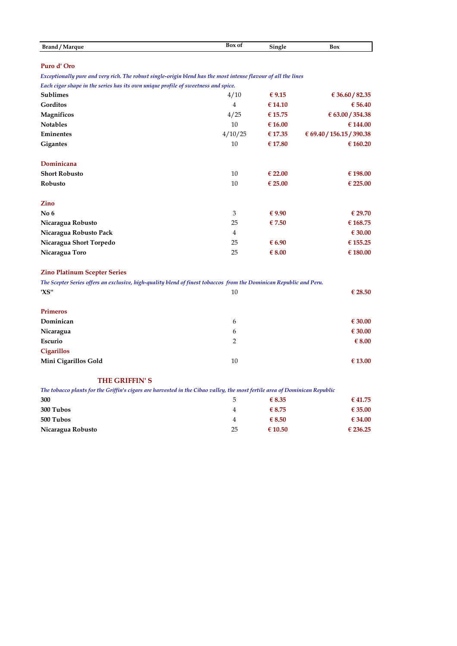| <b>Brand</b><br>Marque | Box of | $\sim$ $\sim$<br>Single | Box |
|------------------------|--------|-------------------------|-----|

## **Puro d' Oro**

*Exceptionally pure and very rich. The robust single-origin blend has the most intense flavour of all the lines*

*Each cigar shape in the series has its own unique profile of sweetness and spice.*

| <b>Sublimes</b>         | 4/10    | $\epsilon$ 9.15  | € 36.60 / 82.35           |
|-------------------------|---------|------------------|---------------------------|
| Gorditos                | 4       | €14.10           | € 56.40                   |
| Magnificos              | 4/25    | € 15.75          | € 63.00 / 354.38          |
| <b>Notables</b>         | 10      | € 16.00          | € 144.00                  |
| Eminentes               | 4/10/25 | € 17.35          | € 69.40 / 156.15 / 390.38 |
| <b>Gigantes</b>         | 10      | € 17.80          | € 160.20                  |
| Dominicana              |         |                  |                           |
| <b>Short Robusto</b>    | 10      | $\epsilon$ 22.00 | € 198.00                  |
| Robusto                 | 10      | $\epsilon$ 25.00 | € 225.00                  |
| Zino                    |         |                  |                           |
| No <sub>6</sub>         | 3       | $\epsilon$ 9.90  | € 29.70                   |
| Nicaragua Robusto       | 25      | €7.50            | € 168.75                  |
| Nicaragua Robusto Pack  | 4       |                  | $\epsilon$ 30.00          |
| Nicaragua Short Torpedo | 25      | $\epsilon$ 6.90  | € 155.25                  |
| Nicaragua Toro          | 25      | € $8.00$         | € 180.00                  |

## **Zino Platinum Scepter Series**

| The Scepter Series offers an exclusive, high-quality blend of finest tobaccos from the Dominican Republic and Peru. |    |                  |  |
|---------------------------------------------------------------------------------------------------------------------|----|------------------|--|
| 'XS"                                                                                                                | 10 | $\epsilon$ 28.50 |  |
| <b>Primeros</b>                                                                                                     |    |                  |  |
| Dominican                                                                                                           | 6  | $\epsilon$ 30.00 |  |
| Nicaragua                                                                                                           | 6  | $\epsilon$ 30.00 |  |
| Escurio                                                                                                             | 2  | $\epsilon$ 8.00  |  |
| <b>Cigarillos</b>                                                                                                   |    |                  |  |
| Mini Cigarillos Gold                                                                                                | 10 | € 13.00          |  |

## **THE GRIFFIN' S**

| The tobacco plants for the Griffin's cigars are harvested in the Cibao valley, the most fertile area of Dominican Republic |               |                  |                  |
|----------------------------------------------------------------------------------------------------------------------------|---------------|------------------|------------------|
| 300                                                                                                                        | $\mathcal{L}$ | $\epsilon$ 8.35  | € 41.75          |
| 300 Tubos                                                                                                                  | 4             | $\epsilon$ 8.75  | € 35.00          |
| 500 Tubos                                                                                                                  | 4             | $\epsilon$ 8.50  | $\epsilon$ 34.00 |
| Nicaragua Robusto                                                                                                          | 25            | $\epsilon$ 10.50 | € 236.25         |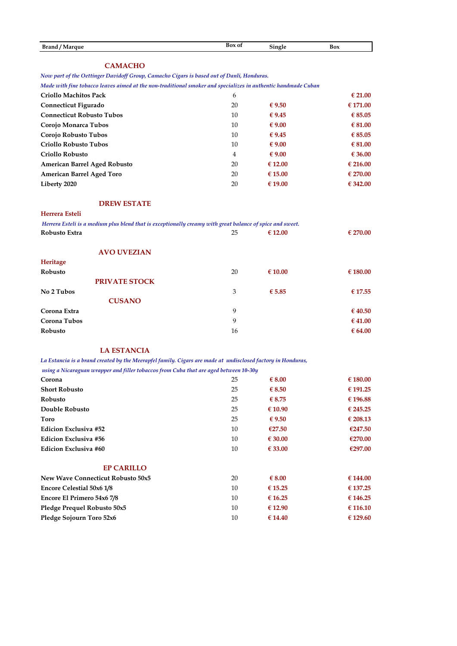| <b>Brand / Marque</b><br>Box of | bingle | Box |
|---------------------------------|--------|-----|
|---------------------------------|--------|-----|

# **CAMACHO**

*Now part of the Oettinger Davidoff Group, Camacho Cigars is based out of Danli, Honduras.* 

*Made with fine tobacco leaves aimed at the non-traditional smoker and specializes in authentic handmade Cuban* 

| <b>Criollo Machitos Pack</b>     | 6  |                 | $\epsilon$ 21.00 |
|----------------------------------|----|-----------------|------------------|
| Connecticut Figurado             | 20 | $\epsilon$ 9.50 | € 171.00         |
| <b>Connecticut Robusto Tubos</b> | 10 | € 9.45          | € 85.05          |
| Corojo Monarca Tubos             | 10 | $\epsilon$ 9.00 | € 81.00          |
| Corojo Robusto Tubos             | 10 | € 9.45          | € 85.05          |
| <b>Criollo Robusto Tubos</b>     | 10 | $\epsilon$ 9.00 | € 81.00          |
| <b>Criollo Robusto</b>           | 4  | $\epsilon$ 9.00 | € 36.00          |
| American Barrel Aged Robusto     | 20 | € 12.00         | € 216.00         |
| American Barrel Aged Toro        | 20 | € 15.00         | € 270.00         |
| Liberty 2020                     | 20 | € 19.00         | € 342.00         |

## **DREW ESTATE**

## **Herrera Esteli**

| Herrera Esteli is a medium plus blend that is exceptionally creamy with great balance of spice and sweet. |    |                  |                  |
|-----------------------------------------------------------------------------------------------------------|----|------------------|------------------|
| Robusto Extra                                                                                             | 25 | $\epsilon$ 12.00 | € 270.00         |
| <b>AVO UVEZIAN</b>                                                                                        |    |                  |                  |
| Heritage                                                                                                  |    |                  |                  |
| Robusto                                                                                                   | 20 | $\epsilon$ 10.00 | € 180.00         |
| <b>PRIVATE STOCK</b>                                                                                      |    |                  |                  |
| No 2 Tubos                                                                                                | 3  | € 5.85           | € 17.55          |
| <b>CUSANO</b>                                                                                             |    |                  |                  |
| Corona Extra                                                                                              | 9  |                  | $\epsilon$ 40.50 |
| Corona Tubos                                                                                              | 9  |                  | $\epsilon$ 41.00 |
| Robusto                                                                                                   | 16 |                  | 64.00            |

# **LA ESTANCIA**

*La Estancia is a brand created by the Meerapfel family. Cigars are made at undisclosed factory in Honduras,*

| using a Nicaraguan wrapper and filler tobaccos from Cuba that are aged between 10-30y |    |                  |          |
|---------------------------------------------------------------------------------------|----|------------------|----------|
| Corona                                                                                | 25 | € $8.00$         | € 180.00 |
| <b>Short Robusto</b>                                                                  | 25 | $\epsilon$ 8.50  | € 191.25 |
| Robusto                                                                               | 25 | € 8.75           | € 196.88 |
| Double Robusto                                                                        | 25 | $\epsilon$ 10.90 | € 245.25 |
| Toro                                                                                  | 25 | $\epsilon$ 9.50  | € 208.13 |
| <b>Edicion Exclusiva #52</b>                                                          | 10 | €27.50           | €247.50  |
| <b>Edicion Exclusiva #56</b>                                                          | 10 | $\epsilon$ 30.00 | €270.00  |
| <b>Edicion Exclusiva #60</b>                                                          | 10 | € 33.00          | €297.00  |
| <b>EP CARILLO</b>                                                                     |    |                  |          |
| New Wave Connecticut Robusto 50x5                                                     | 20 | € $8.00$         | € 144.00 |
| <b>Encore Celestial 50x6 1/8</b>                                                      | 10 | € 15.25          | € 137.25 |
| Encore El Primero 54x6 7/8                                                            | 10 | € 16.25          | € 146.25 |
| Pledge Prequel Robusto 50x5                                                           | 10 | €12.90           | € 116.10 |
| Pledge Sojourn Toro 52x6                                                              | 10 | $\epsilon$ 14.40 | € 129.60 |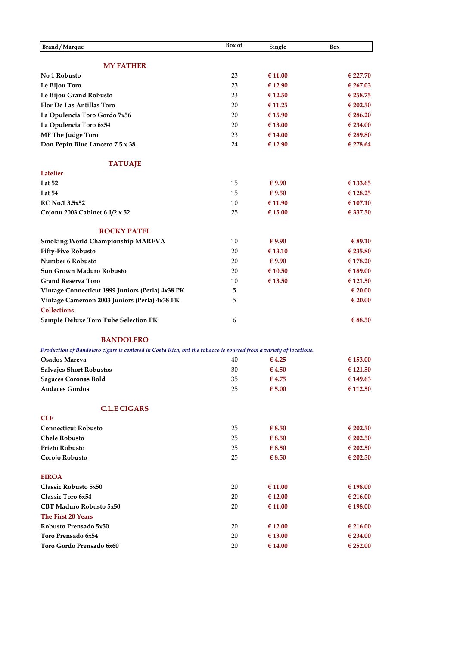| Brand / Marque                                                                                                    | Box of   | Single             | Box                  |
|-------------------------------------------------------------------------------------------------------------------|----------|--------------------|----------------------|
|                                                                                                                   |          |                    |                      |
| <b>MY FATHER</b>                                                                                                  |          |                    |                      |
| No 1 Robusto                                                                                                      | 23       | € 11.00            | € 227.70             |
| Le Bijou Toro                                                                                                     | 23       | €12.90             | € 267.03             |
| Le Bijou Grand Robusto                                                                                            | 23       | $\epsilon$ 12.50   | € 258.75             |
| <b>Flor De Las Antillas Toro</b>                                                                                  | 20       | € 11.25            | € 202.50             |
| La Opulencia Toro Gordo 7x56                                                                                      | 20       | € 15.90            | € 286.20             |
| La Opulencia Toro 6x54                                                                                            | 20       | € 13.00            | € 234.00             |
| <b>MF The Judge Toro</b>                                                                                          | 23       | € 14.00            | € 289.80             |
| Don Pepin Blue Lancero 7.5 x 38                                                                                   | 24       | € 12.90            | € 278.64             |
| <b>TATUAJE</b>                                                                                                    |          |                    |                      |
| <b>Latelier</b>                                                                                                   |          |                    |                      |
| Lat $52$                                                                                                          | 15       | $\epsilon$ 9.90    | € 133.65             |
| Lat 54                                                                                                            | 15       | € 9.50             | € 128.25             |
| <b>RC</b> No.1 3.5x52                                                                                             | 10       | € 11.90            | € 107.10             |
| Cojonu 2003 Cabinet 6 $1/2 \times 52$                                                                             | 25       | $\epsilon$ 15.00   | € 337.50             |
|                                                                                                                   |          |                    |                      |
| <b>ROCKY PATEL</b><br>Smoking World Championship MAREVA                                                           | 10       | $\epsilon$ 9.90    | € 89.10              |
| <b>Fifty-Five Robusto</b>                                                                                         | 20       | € 13.10            | € 235.80             |
| Number 6 Robusto                                                                                                  | 20       | $\epsilon$ 9.90    | € 178.20             |
| <b>Sun Grown Maduro Robusto</b>                                                                                   | 20       | € 10.50            | € 189.00             |
| <b>Grand Reserva Toro</b>                                                                                         | 10       | € 13.50            | € 121.50             |
| Vintage Connecticut 1999 Juniors (Perla) 4x38 PK                                                                  | 5        |                    | $\epsilon$ 20.00     |
| Vintage Cameroon 2003 Juniors (Perla) 4x38 PK                                                                     | 5        |                    | € 20.00              |
| <b>Collections</b>                                                                                                |          |                    |                      |
| <b>Sample Deluxe Toro Tube Selection PK</b>                                                                       | 6        |                    | € 88.50              |
|                                                                                                                   |          |                    |                      |
| <b>BANDOLERO</b>                                                                                                  |          |                    |                      |
| Production of Bandolero cigars is centered in Costa Rica, but the tobacco is sourced from a variety of locations. |          |                    |                      |
| Osados Mareva                                                                                                     | 40       | €4.25              | € 153.00             |
| <b>Salvajes Short Robustos</b>                                                                                    | 30       | $\epsilon$ 4.50    | € 121.50             |
| <b>Sagaces Coronas Bold</b>                                                                                       | 35       | €4.75              | € 149.63             |
| <b>Audaces Gordos</b>                                                                                             | 25       | € 5.00             | € 112.50             |
| <b>C.L.E CIGARS</b>                                                                                               |          |                    |                      |
| <b>CLE</b>                                                                                                        |          |                    |                      |
| <b>Connecticut Robusto</b>                                                                                        | 25       | $\epsilon$ 8.50    | € 202.50             |
| <b>Chele Robusto</b>                                                                                              | 25       | $\epsilon$ 8.50    | € 202.50             |
| <b>Prieto Robusto</b>                                                                                             | 25       | $\epsilon$ 8.50    | € 202.50             |
| Corojo Robusto                                                                                                    | 25       | $\epsilon$ 8.50    | € 202.50             |
|                                                                                                                   |          |                    |                      |
| <b>EIROA</b>                                                                                                      |          |                    |                      |
| Classic Robusto 5x50                                                                                              | 20       | € 11.00            | € 198.00             |
| <b>Classic Toro 6x54</b>                                                                                          | 20       | € 12.00            | € 216.00             |
| <b>CBT Maduro Robusto 5x50</b><br>The First 20 Years                                                              | 20       | €11.00             | € 198.00             |
| Robusto Prensado 5x50                                                                                             |          |                    |                      |
| Toro Prensado 6x54                                                                                                | 20<br>20 | € 12.00            | € 216.00<br>€ 234.00 |
| Toro Gordo Prensado 6x60                                                                                          | 20       | € 13.00<br>€ 14.00 | € 252.00             |
|                                                                                                                   |          |                    |                      |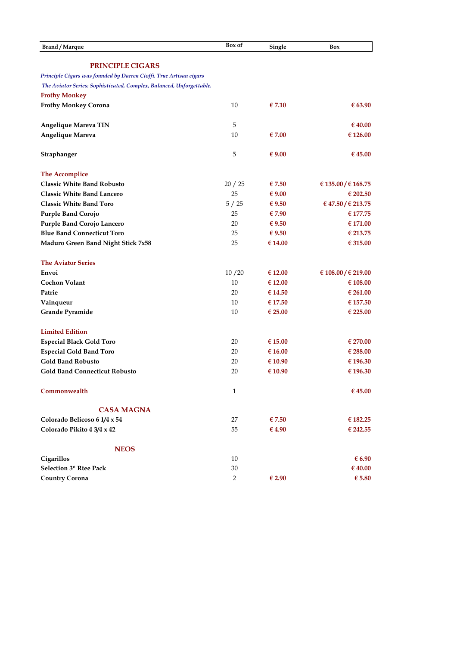| <b>Brand / Marque</b>                                                | Box of         | Single          | Box                 |
|----------------------------------------------------------------------|----------------|-----------------|---------------------|
|                                                                      |                |                 |                     |
| <b>PRINCIPLE CIGARS</b>                                              |                |                 |                     |
| Principle Cigars was founded by Darren Cioffi. True Artisan cigars   |                |                 |                     |
| The Aviator Series: Sophisticated, Complex, Balanced, Unforgettable. |                |                 |                     |
| <b>Frothy Monkey</b>                                                 |                |                 |                     |
| <b>Frothy Monkey Corona</b>                                          | 10             | $\epsilon$ 7.10 | € 63.90             |
| <b>Angelique Mareva TIN</b>                                          | 5              |                 | € 40.00             |
| Angelique Mareva                                                     | 10             | € 7.00          | € 126.00            |
| Straphanger                                                          | 5              | $\epsilon$ 9.00 | € 45.00             |
| The Accomplice                                                       |                |                 |                     |
| <b>Classic White Band Robusto</b>                                    | 20/25          | €7.50           | € 135.00 / € 168.75 |
| <b>Classic White Band Lancero</b>                                    | 25             | € $9.00$        | € 202.50            |
| <b>Classic White Band Toro</b>                                       | 5/25           | $\epsilon$ 9.50 | € 47.50 / € 213.75  |
| <b>Purple Band Corojo</b>                                            | 25             | €7.90           | € 177.75            |
| Purple Band Corojo Lancero                                           | 20             | $\epsilon$ 9.50 | € 171.00            |
| <b>Blue Band Connecticut Toro</b>                                    | 25             | $\epsilon$ 9.50 | € 213.75            |
| <b>Maduro Green Band Night Stick 7x58</b>                            | 25             | € 14.00         | € 315.00            |
| <b>The Aviator Series</b>                                            |                |                 |                     |
| Envoi                                                                | 10/20          | € 12.00         | € 108.00 / € 219.00 |
| <b>Cochon Volant</b>                                                 | 10             | € 12.00         | € 108.00            |
| Patrie                                                               | 20             | € 14.50         | € 261.00            |
| Vainqueur                                                            | 10             | € 17.50         | € 157.50            |
| Grande Pyramide                                                      | 10             | € 25.00         | € 225.00            |
| <b>Limited Edition</b>                                               |                |                 |                     |
| <b>Especial Black Gold Toro</b>                                      | 20             | € 15.00         | € 270.00            |
| <b>Especial Gold Band Toro</b>                                       | 20             | € 16.00         | € 288.00            |
| <b>Gold Band Robusto</b>                                             | 20             | €10.90          | € 196.30            |
| <b>Gold Band Connecticut Robusto</b>                                 | 20             | € 10.90         | € 196.30            |
| Commonwealth                                                         | $\mathbf{1}$   |                 | € 45.00             |
| <b>CASA MAGNA</b>                                                    |                |                 |                     |
| Colorado Belicoso 6 1/4 x 54                                         | 27             | € 7.50          | € 182.25            |
| Colorado Pikito 4 3/4 x 42                                           | 55             | €4.90           | € 242.55            |
| <b>NEOS</b>                                                          |                |                 |                     |
| Cigarillos                                                           | 10             |                 | $\epsilon$ 6.90     |
| Selection 3* Rtee Pack                                               | 30             |                 | € 40.00             |
| <b>Country Corona</b>                                                | $\overline{2}$ | € 2.90          | $\epsilon$ 5.80     |